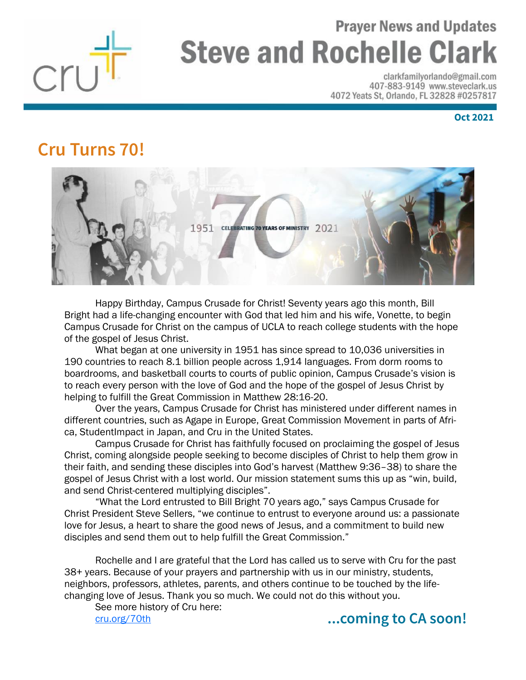

## **Prayer News and Updates Steve and Rochelle Clark**

clarkfamilyorlando@gmail.com 407-883-9149 www.steveclark.us 4072 Yeats St, Orlando, FL 32828 #0257817

## **Oct 2021**

## **Cru Turns 70!**



Happy Birthday, Campus Crusade for Christ! Seventy years ago this month, Bill Bright had a life-changing encounter with God that led him and his wife, Vonette, to begin Campus Crusade for Christ on the campus of UCLA to reach college students with the hope of the gospel of Jesus Christ.

What began at one university in 1951 has since spread to 10,036 universities in 190 countries to reach 8.1 billion people across 1,914 languages. From dorm rooms to boardrooms, and basketball courts to courts of public opinion, Campus Crusade's vision is to reach every person with the love of God and the hope of the gospel of Jesus Christ by helping to fulfill the Great Commission in Matthew 28:16-20.

Over the years, Campus Crusade for Christ has ministered under different names in different countries, such as Agape in Europe, Great Commission Movement in parts of Africa, StudentImpact in Japan, and Cru in the United States.

Campus Crusade for Christ has faithfully focused on proclaiming the gospel of Jesus Christ, coming alongside people seeking to become disciples of Christ to help them grow in their faith, and sending these disciples into God's harvest (Matthew 9:36–38) to share the gospel of Jesus Christ with a lost world. Our mission statement sums this up as "win, build, and send Christ-centered multiplying disciples".

"What the Lord entrusted to Bill Bright 70 years ago," says Campus Crusade for Christ President Steve Sellers, "we continue to entrust to everyone around us: a passionate love for Jesus, a heart to share the good news of Jesus, and a commitment to build new disciples and send them out to help fulfill the Great Commission."

Rochelle and I are grateful that the Lord has called us to serve with Cru for the past 38+ years. Because of your prayers and partnership with us in our ministry, students, neighbors, professors, athletes, parents, and others continue to be touched by the lifechanging love of Jesus. Thank you so much. We could not do this without you.

See more history of Cru here:

[cru.org/70th](https://www.cru.org/us/en/70th.html) **...coming to CA soon!**